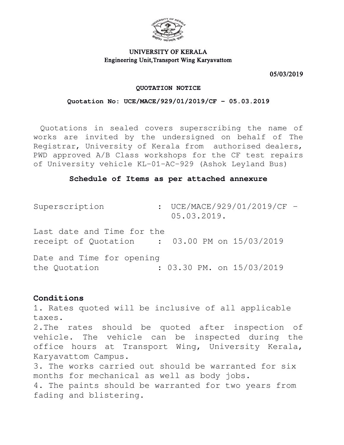

# UNIVERSITY OF KERALA Engineering Unit,Transport Wing Karyavattom

05/03/2019

#### **QUOTATION NOTICE**

### **Quotation No: UCE/MACE/929/01/2019/CF - 05.03.2019**

Quotations in sealed covers superscribing the name of works are invited by the undersigned on behalf of The Registrar, University of Kerala from authorised dealers, PWD approved A/B Class workshops for the CF test repairs of University vehicle KL-01-AC-929 (Ashok Leyland Bus)

## **Schedule of Items as per attached annexure**

Superscription : UCE/MACE/929/01/2019/CF -05.03.2019. Last date and Time for the receipt of Quotation : 03.00 PM on 15/03/2019

Date and Time for opening the Quotation : 03.30 PM. on 15/03/2019

# **Conditions**

1. Rates quoted will be inclusive of all applicable taxes.

2.The rates should be quoted after inspection of vehicle. The vehicle can be inspected during the office hours at Transport Wing, University Kerala, Karyavattom Campus.

3. The works carried out should be warranted for six months for mechanical as well as body jobs.

4. The paints should be warranted for two years from fading and blistering.